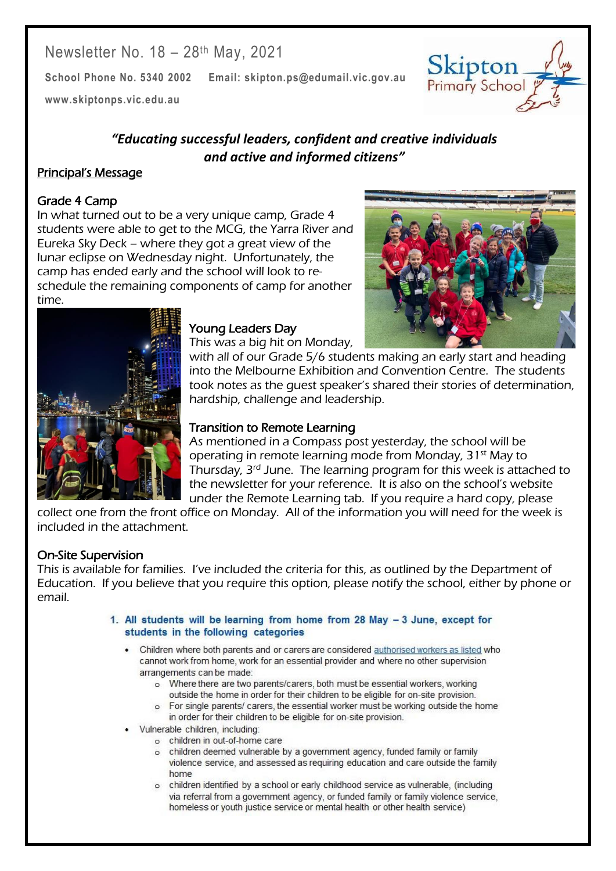Newsletter No. 18 - 28<sup>th</sup> May, 2021

**School Phone No. 5340 2002 Email: skipton.ps@edumail.vic.gov.au**

**[www.skiptonps.vic.edu.au](http://www.skiptonps.vic.edu.au/)**

*"Educating successful leaders, confident and creative individuals and active and informed citizens"*

## Principal's Message

#### Grade 4 Camp

In what turned out to be a very unique camp, Grade 4 students were able to get to the MCG, the Yarra River and Eureka Sky Deck – where they got a great view of the lunar eclipse on Wednesday night. Unfortunately, the camp has ended early and the school will look to reschedule the remaining components of camp for another time.



Skipton Primary School

Centacare South West



### Young Leaders Day

This was a big hit on Monday,

with all of our Grade 5/6 students making an early start and heading into the Melbourne Exhibition and Convention Centre. The students took notes as the guest speaker's shared their stories of determination, hardship, challenge and leadership.

#### Transition to Remote Learning

As mentioned in a Compass post yesterday, the school will be operating in remote learning mode from Monday, 31st May to Thursday, 3rd June. The learning program for this week is attached to the newsletter for your reference. It is also on the school's website under the Remote Learning tab. If you require a hard copy, please

collect one from the front office on Monday. All of the information you will need for the week is included in the attachment.

## On-Site Supervision

This is available for families. I've included the criteria for this, as outlined by the Department of Education. If you believe that you require this option, please notify the school, either by phone or email.

- 1. All students will be learning from home from 28 May 3 June, except for students in the following categories
	- . Children where both parents and or carers are considered authorised workers as listed who cannot work from home, work for an essential provider and where no other supervision arrangements can be made:
		- o Where there are two parents/carers, both must be essential workers, working outside the home in order for their children to be eligible for on-site provision.
		- o For single parents/ carers, the essential worker must be working outside the home in order for their children to be eligible for on-site provision.
	- Vulnerable children, including:
		- o children in out-of-home care
			- o children deemed vulnerable by a government agency, funded family or family violence service, and assessed as requiring education and care outside the family home
			- o children identified by a school or early childhood service as vulnerable, (including via referral from a government agency, or funded family or family violence service, homeless or youth justice service or mental health or other health service)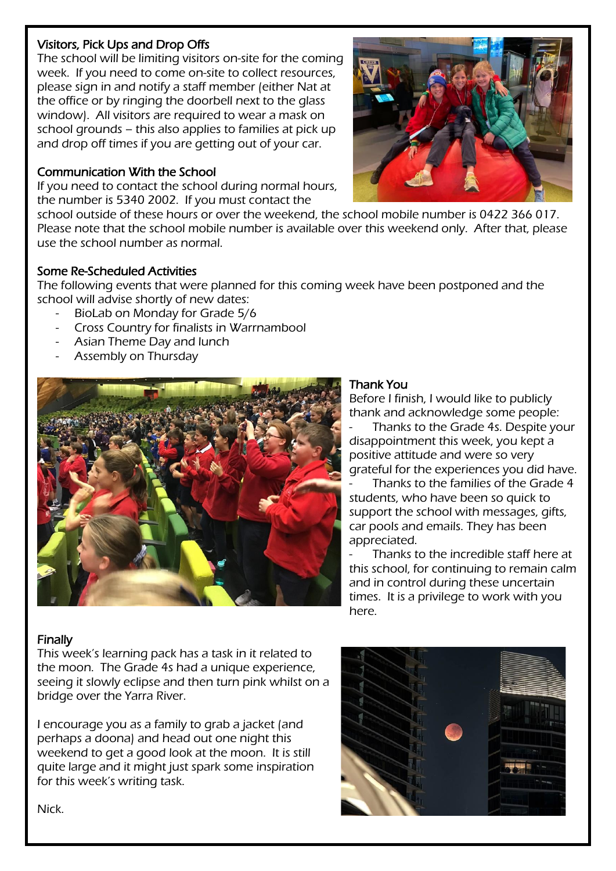#### Visitors, Pick Ups and Drop Offs

The school will be limiting visitors on-site for the coming week. If you need to come on-site to collect resources, please sign in and notify a staff member (either Nat at the office or by ringing the doorbell next to the glass window). All visitors are required to wear a mask on school grounds – this also applies to families at pick up and drop off times if you are getting out of your car.

## Communication With the School

If you need to contact the school during normal hours, the number is 5340 2002. If you must contact the



school outside of these hours or over the weekend, the school mobile number is 0422 366 017. Please note that the school mobile number is available over this weekend only. After that, please use the school number as normal.

## Some Re-Scheduled Activities

The following events that were planned for this coming week have been postponed and the school will advise shortly of new dates:

- BioLab on Monday for Grade 5/6
- Cross Country for finalists in Warrnambool
- Asian Theme Day and lunch
- Assembly on Thursday



#### Thank You

Before I finish, I would like to publicly thank and acknowledge some people:

Thanks to the Grade 4s. Despite your disappointment this week, you kept a positive attitude and were so very grateful for the experiences you did have.

Thanks to the families of the Grade 4 students, who have been so quick to support the school with messages, gifts, car pools and emails. They has been appreciated.

Thanks to the incredible staff here at this school, for continuing to remain calm and in control during these uncertain times. It is a privilege to work with you here.

#### Finally

This week's learning pack has a task in it related to the moon. The Grade 4s had a unique experience, seeing it slowly eclipse and then turn pink whilst on a bridge over the Yarra River.

I encourage you as a family to grab a jacket (and perhaps a doona) and head out one night this weekend to get a good look at the moon. It is still quite large and it might just spark some inspiration for this week's writing task.



Centacare South West

Nick.